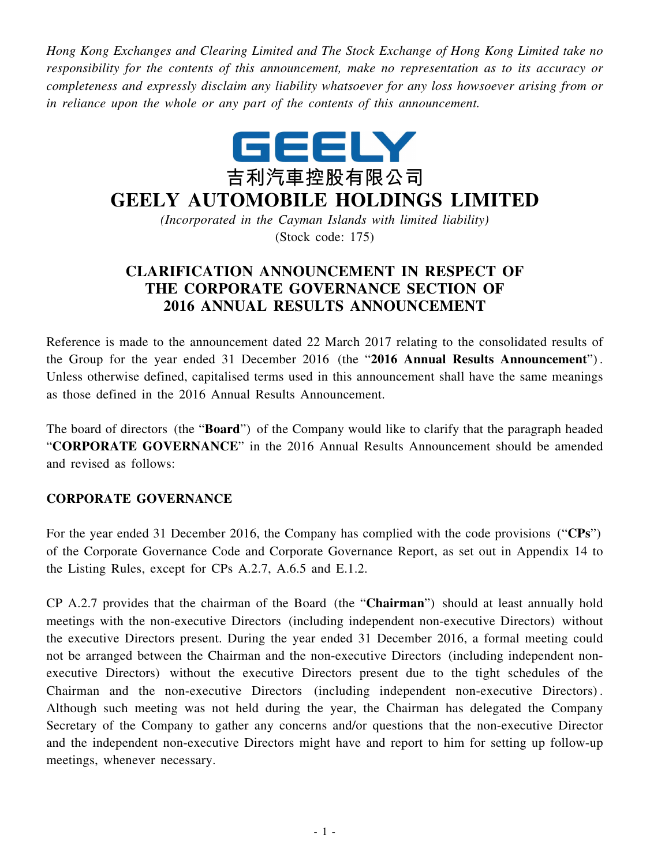*Hong Kong Exchanges and Clearing Limited and The Stock Exchange of Hong Kong Limited take no responsibility for the contents of this announcement, make no representation as to its accuracy or completeness and expressly disclaim any liability whatsoever for any loss howsoever arising from or in reliance upon the whole or any part of the contents of this announcement.*



## **GEELY AUTOMOBILE HOLDINGS LIMITED**

*(Incorporated in the Cayman Islands with limited liability)* (Stock code: 175)

## **CLARIFICATION ANNOUNCEMENT IN RESPECT OF THE CORPORATE GOVERNANCE SECTION OF 2016 ANNUAL RESULTS ANNOUNCEMENT**

Reference is made to the announcement dated 22 March 2017 relating to the consolidated results of the Group for the year ended 31 December 2016 (the "**2016 Annual Results Announcement**") . Unless otherwise defined, capitalised terms used in this announcement shall have the same meanings as those defined in the 2016 Annual Results Announcement.

The board of directors (the "**Board**") of the Company would like to clarify that the paragraph headed "**CORPORATE GOVERNANCE**" in the 2016 Annual Results Announcement should be amended and revised as follows:

## **CORPORATE GOVERNANCE**

For the year ended 31 December 2016, the Company has complied with the code provisions ("**CPs**") of the Corporate Governance Code and Corporate Governance Report, as set out in Appendix 14 to the Listing Rules, except for CPs A.2.7, A.6.5 and E.1.2.

CP A.2.7 provides that the chairman of the Board (the "**Chairman**") should at least annually hold meetings with the non-executive Directors (including independent non-executive Directors) without the executive Directors present. During the year ended 31 December 2016, a formal meeting could not be arranged between the Chairman and the non-executive Directors (including independent nonexecutive Directors) without the executive Directors present due to the tight schedules of the Chairman and the non-executive Directors (including independent non-executive Directors) . Although such meeting was not held during the year, the Chairman has delegated the Company Secretary of the Company to gather any concerns and/or questions that the non-executive Director and the independent non-executive Directors might have and report to him for setting up follow-up meetings, whenever necessary.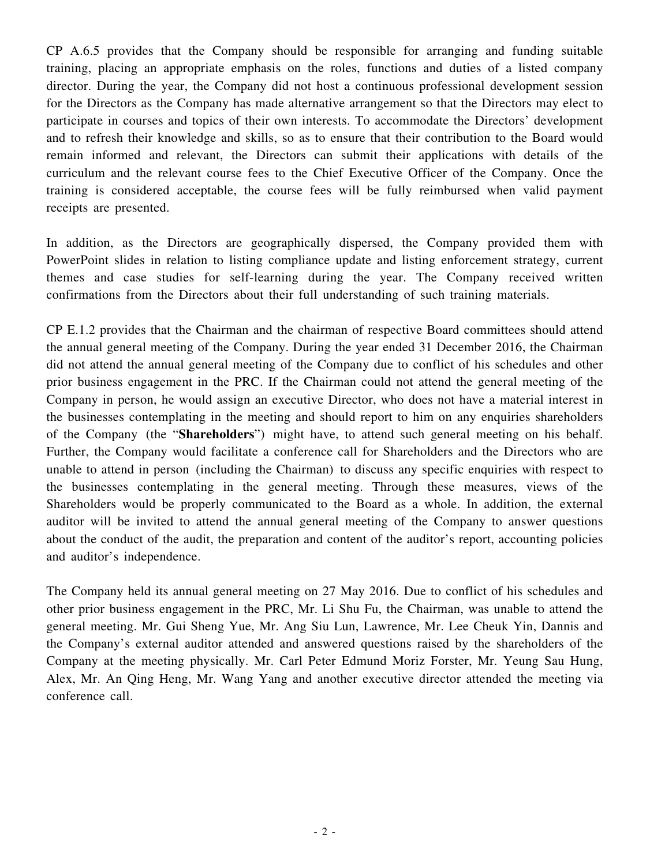CP A.6.5 provides that the Company should be responsible for arranging and funding suitable training, placing an appropriate emphasis on the roles, functions and duties of a listed company director. During the year, the Company did not host a continuous professional development session for the Directors as the Company has made alternative arrangement so that the Directors may elect to participate in courses and topics of their own interests. To accommodate the Directors' development and to refresh their knowledge and skills, so as to ensure that their contribution to the Board would remain informed and relevant, the Directors can submit their applications with details of the curriculum and the relevant course fees to the Chief Executive Officer of the Company. Once the training is considered acceptable, the course fees will be fully reimbursed when valid payment receipts are presented.

In addition, as the Directors are geographically dispersed, the Company provided them with PowerPoint slides in relation to listing compliance update and listing enforcement strategy, current themes and case studies for self-learning during the year. The Company received written confirmations from the Directors about their full understanding of such training materials.

CP E.1.2 provides that the Chairman and the chairman of respective Board committees should attend the annual general meeting of the Company. During the year ended 31 December 2016, the Chairman did not attend the annual general meeting of the Company due to conflict of his schedules and other prior business engagement in the PRC. If the Chairman could not attend the general meeting of the Company in person, he would assign an executive Director, who does not have a material interest in the businesses contemplating in the meeting and should report to him on any enquiries shareholders of the Company (the "**Shareholders**") might have, to attend such general meeting on his behalf. Further, the Company would facilitate a conference call for Shareholders and the Directors who are unable to attend in person (including the Chairman) to discuss any specific enquiries with respect to the businesses contemplating in the general meeting. Through these measures, views of the Shareholders would be properly communicated to the Board as a whole. In addition, the external auditor will be invited to attend the annual general meeting of the Company to answer questions about the conduct of the audit, the preparation and content of the auditor's report, accounting policies and auditor's independence.

The Company held its annual general meeting on 27 May 2016. Due to conflict of his schedules and other prior business engagement in the PRC, Mr. Li Shu Fu, the Chairman, was unable to attend the general meeting. Mr. Gui Sheng Yue, Mr. Ang Siu Lun, Lawrence, Mr. Lee Cheuk Yin, Dannis and the Company's external auditor attended and answered questions raised by the shareholders of the Company at the meeting physically. Mr. Carl Peter Edmund Moriz Forster, Mr. Yeung Sau Hung, Alex, Mr. An Qing Heng, Mr. Wang Yang and another executive director attended the meeting via conference call.